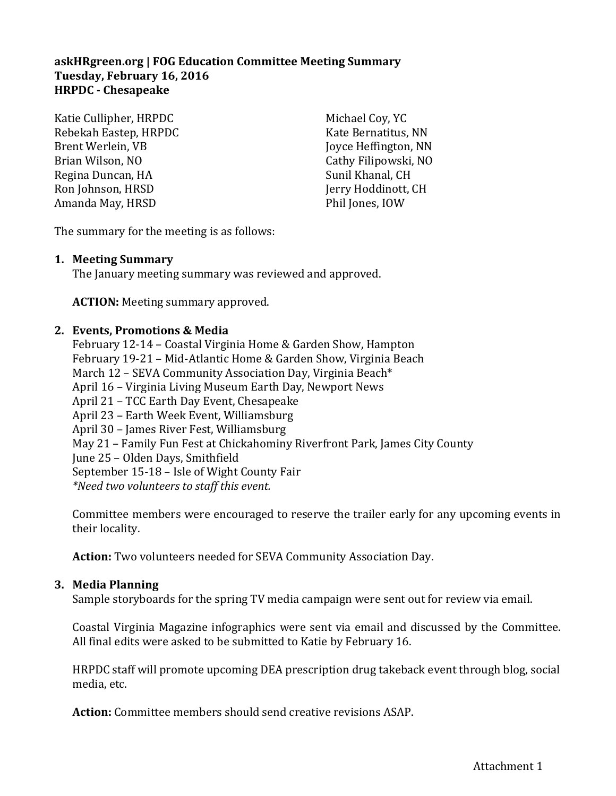## **askHRgreen.org | FOG Education Committee Meeting Summary Tuesday, February 16, 2016 HRPDC - Chesapeake**

Katie Cullipher, HRPDC Rebekah Eastep, HRPDC Brent Werlein, VB Brian Wilson, NO Regina Duncan, HA Ron Johnson, HRSD Amanda May, HRSD

Michael Coy, YC Kate Bernatitus, NN Joyce Heffington, NN Cathy Filipowski, NO Sunil Khanal, CH Jerry Hoddinott, CH Phil Jones, IOW

The summary for the meeting is as follows:

## **1. Meeting Summary**

The January meeting summary was reviewed and approved.

**ACTION:** Meeting summary approved.

## **2. Events, Promotions & Media**

February 12-14 – Coastal Virginia Home & Garden Show, Hampton February 19-21 – Mid-Atlantic Home & Garden Show, Virginia Beach March 12 – SEVA Community Association Day, Virginia Beach\* April 16 – Virginia Living Museum Earth Day, Newport News April 21 – TCC Earth Day Event, Chesapeake April 23 – Earth Week Event, Williamsburg April 30 – James River Fest, Williamsburg May 21 – Family Fun Fest at Chickahominy Riverfront Park, James City County June 25 – Olden Days, Smithfield September 15-18 – Isle of Wight County Fair *\*Need two volunteers to staff this event.* 

Committee members were encouraged to reserve the trailer early for any upcoming events in their locality.

**Action:** Two volunteers needed for SEVA Community Association Day.

### **3. Media Planning**

Sample storyboards for the spring TV media campaign were sent out for review via email.

Coastal Virginia Magazine infographics were sent via email and discussed by the Committee. All final edits were asked to be submitted to Katie by February 16.

HRPDC staff will promote upcoming DEA prescription drug takeback event through blog, social media, etc.

**Action:** Committee members should send creative revisions ASAP.